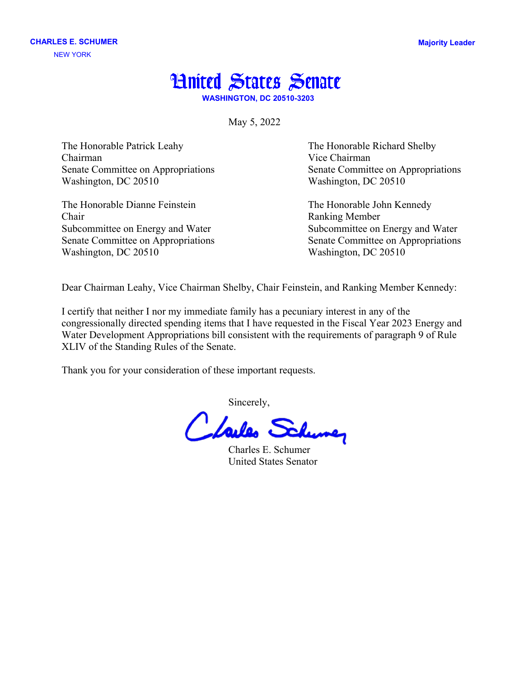

**WASHINGTON, DC 20510-3203**

May 5, 2022

The Honorable Patrick Leahy The Honorable Richard Shelby Chairman Vice Chairman Senate Committee on Appropriations Senate Committee on Appropriations Washington, DC 20510 Washington, DC 20510

The Honorable Dianne Feinstein The Honorable John Kennedy Chair Ranking Member Subcommittee on Energy and Water Subcommittee on Energy and Water Washington, DC 20510 Washington, DC 20510

Senate Committee on Appropriations Senate Committee on Appropriations

Dear Chairman Leahy, Vice Chairman Shelby, Chair Feinstein, and Ranking Member Kennedy:

I certify that neither I nor my immediate family has a pecuniary interest in any of the congressionally directed spending items that I have requested in the Fiscal Year 2023 Energy and Water Development Appropriations bill consistent with the requirements of paragraph 9 of Rule XLIV of the Standing Rules of the Senate.

Thank you for your consideration of these important requests.

Sincerely,

Charles E. Schumer United States Senator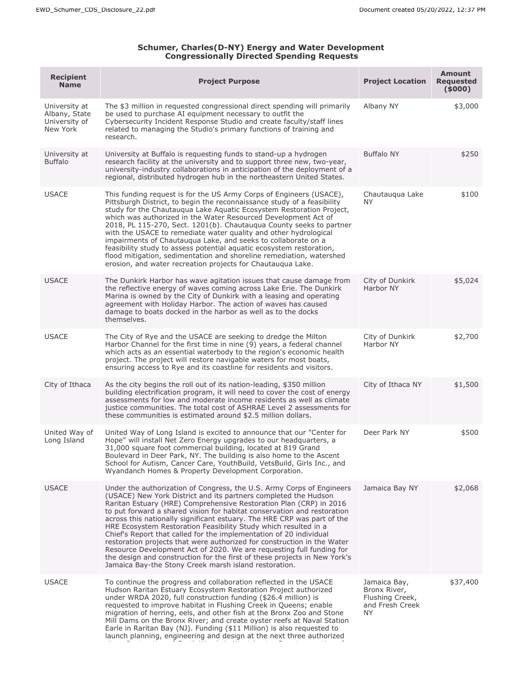## **Schumer, Charles(D-NY) Energy and Water Development Congressionally Directed Spending Requests**

| <b>Recipient</b><br><b>Name</b>                             | <b>Project Purpose</b>                                                                                                                                                                                                                                                                                                                                                                                                                                                                                                                                                                                                                                                                                                                                                                                 | <b>Project Location</b>                                                         | <b>Amount</b><br><b>Requested</b><br>(5000) |
|-------------------------------------------------------------|--------------------------------------------------------------------------------------------------------------------------------------------------------------------------------------------------------------------------------------------------------------------------------------------------------------------------------------------------------------------------------------------------------------------------------------------------------------------------------------------------------------------------------------------------------------------------------------------------------------------------------------------------------------------------------------------------------------------------------------------------------------------------------------------------------|---------------------------------------------------------------------------------|---------------------------------------------|
| University at<br>Albany, State<br>University of<br>New York | The \$3 million in requested congressional direct spending will primarily<br>be used to purchase AI equipment necessary to outfit the<br>Cybersecurity Incident Response Studio and create faculty/staff lines<br>related to managing the Studio's primary functions of training and<br>research.                                                                                                                                                                                                                                                                                                                                                                                                                                                                                                      | Albany NY                                                                       | \$3,000                                     |
| University at<br><b>Buffalo</b>                             | University at Buffalo is requesting funds to stand-up a hydrogen<br>research facility at the university and to support three new, two-year,<br>university-industry collaborations in anticipation of the deployment of a<br>regional, distributed hydrogen hub in the northeastern United States.                                                                                                                                                                                                                                                                                                                                                                                                                                                                                                      | <b>Buffalo NY</b>                                                               | \$250                                       |
| <b>USACE</b>                                                | This funding request is for the US Army Corps of Engineers (USACE),<br>Pittsburgh District, to begin the reconnaissance study of a feasibility<br>study for the Chautauqua Lake Aquatic Ecosystem Restoration Project,<br>which was authorized in the Water Resourced Development Act of<br>2018, PL 115-270, Sect. 1201(b). Chautauqua County seeks to partner<br>with the USACE to remediate water quality and other hydrological<br>impairments of Chautauqua Lake, and seeks to collaborate on a<br>feasibility study to assess potential aquatic ecosystem restoration,<br>flood mitigation, sedimentation and shoreline remediation, watershed<br>erosion, and water recreation projects for Chautauqua Lake.                                                                                    | Chautauqua Lake<br>ΝY                                                           | \$100                                       |
| <b>USACE</b>                                                | The Dunkirk Harbor has wave agitation issues that cause damage from<br>the reflective energy of waves coming across Lake Erie. The Dunkirk<br>Marina is owned by the City of Dunkirk with a leasing and operating<br>agreement with Holiday Harbor. The action of waves has caused<br>damage to boats docked in the harbor as well as to the docks<br>themselves.                                                                                                                                                                                                                                                                                                                                                                                                                                      | City of Dunkirk<br>Harbor NY                                                    | \$5,024                                     |
| <b>USACE</b>                                                | The City of Rye and the USACE are seeking to dredge the Milton<br>Harbor Channel for the first time in nine (9) years, a federal channel<br>which acts as an essential waterbody to the region's economic health<br>project. The project will restore navigable waters for most boats,<br>ensuring access to Rye and its coastline for residents and visitors.                                                                                                                                                                                                                                                                                                                                                                                                                                         | City of Dunkirk<br>Harbor NY                                                    | \$2,700                                     |
| City of Ithaca                                              | As the city begins the roll out of its nation-leading, \$350 million<br>building electrification program, it will need to cover the cost of energy<br>assessments for low and moderate income residents as well as climate<br>justice communities. The total cost of ASHRAE Level 2 assessments for<br>these communities is estimated around \$2.5 million dollars.                                                                                                                                                                                                                                                                                                                                                                                                                                    | City of Ithaca NY                                                               | \$1,500                                     |
| United Way of<br>Long Island                                | United Way of Long Island is excited to announce that our "Center for<br>Hope" will install Net Zero Energy upgrades to our headquarters, a<br>31,000 square foot commercial building, located at 819 Grand<br>Boulevard in Deer Park, NY. The building is also home to the Ascent<br>School for Autism, Cancer Care, YouthBuild, VetsBuild, Girls Inc., and<br>Wyandanch Homes & Property Development Corporation.                                                                                                                                                                                                                                                                                                                                                                                    | Deer Park NY                                                                    | \$500                                       |
| <b>USACE</b>                                                | Under the authorization of Congress, the U.S. Army Corps of Engineers<br>(USACE) New York District and its partners completed the Hudson<br>Raritan Estuary (HRE) Comprehensive Restoration Plan (CRP) in 2016<br>to put forward a shared vision for habitat conservation and restoration<br>across this nationally significant estuary. The HRE CRP was part of the<br>HRE Ecosystem Restoration Feasibility Study which resulted in a<br>Chief's Report that called for the implementation of 20 individual<br>restoration projects that were authorized for construction in the Water<br>Resource Development Act of 2020. We are requesting full funding for<br>the design and construction for the first of these projects in New York's<br>Jamaica Bay-the Stony Creek marsh island restoration. | Jamaica Bay NY                                                                  | \$2,068                                     |
| <b>USACE</b>                                                | To continue the progress and collaboration reflected in the USACE<br>Hudson Raritan Estuary Ecosystem Restoration Project authorized<br>under WRDA 2020, full construction funding (\$26.4 million) is<br>requested to improve habitat in Flushing Creek in Queens; enable<br>migration of herring, eels, and other fish at the Bronx Zoo and Stone<br>Mill Dams on the Bronx River; and create oyster reefs at Naval Station<br>Earle in Raritan Bay (NJ). Funding (\$11 Million) is also requested to<br>launch planning, engineering and design at the next three authorized                                                                                                                                                                                                                        | Jamaica Bay,<br>Bronx River,<br>Flushing Creek,<br>and Fresh Creek<br><b>NY</b> | \$37,400                                    |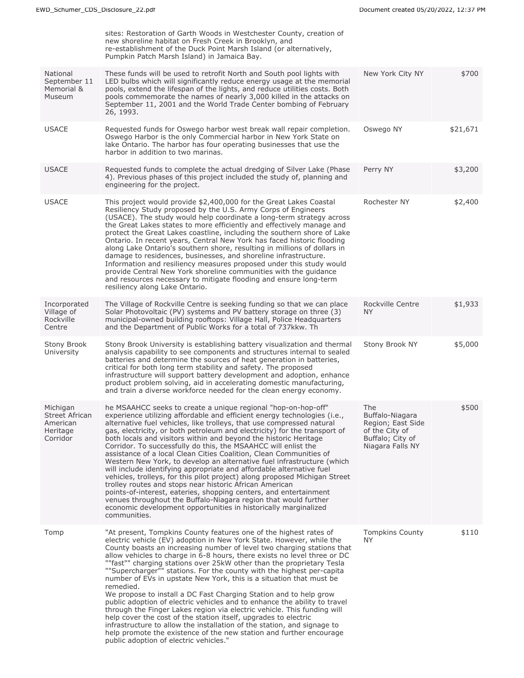|                                                                | sites: Restoration of Garth Woods in Westchester County, creation of<br>new shoreline habitat on Fresh Creek in Brooklyn, and<br>re-establishment of the Duck Point Marsh Island (or alternatively,<br>Pumpkin Patch Marsh Island) in Jamaica Bay.                                                                                                                                                                                                                                                                                                                                                                                                                                                                                                                                                                                                                                                                                                                                                                                |                                                                                                       |          |
|----------------------------------------------------------------|-----------------------------------------------------------------------------------------------------------------------------------------------------------------------------------------------------------------------------------------------------------------------------------------------------------------------------------------------------------------------------------------------------------------------------------------------------------------------------------------------------------------------------------------------------------------------------------------------------------------------------------------------------------------------------------------------------------------------------------------------------------------------------------------------------------------------------------------------------------------------------------------------------------------------------------------------------------------------------------------------------------------------------------|-------------------------------------------------------------------------------------------------------|----------|
| National<br>September 11<br>Memorial &<br><b>Museum</b>        | These funds will be used to retrofit North and South pool lights with<br>LED bulbs which will significantly reduce energy usage at the memorial<br>pools, extend the lifespan of the lights, and reduce utilities costs. Both<br>pools commemorate the names of nearly 3,000 killed in the attacks on<br>September 11, 2001 and the World Trade Center bombing of February<br>26, 1993.                                                                                                                                                                                                                                                                                                                                                                                                                                                                                                                                                                                                                                           | New York City NY                                                                                      | \$700    |
| <b>USACE</b>                                                   | Requested funds for Oswego harbor west break wall repair completion.<br>Oswego Harbor is the only Commercial harbor in New York State on<br>lake Ontario. The harbor has four operating businesses that use the<br>harbor in addition to two marinas.                                                                                                                                                                                                                                                                                                                                                                                                                                                                                                                                                                                                                                                                                                                                                                             | Oswego NY                                                                                             | \$21,671 |
| <b>USACE</b>                                                   | Requested funds to complete the actual dredging of Silver Lake (Phase<br>4). Previous phases of this project included the study of, planning and<br>engineering for the project.                                                                                                                                                                                                                                                                                                                                                                                                                                                                                                                                                                                                                                                                                                                                                                                                                                                  | Perry NY                                                                                              | \$3,200  |
| <b>USACE</b>                                                   | This project would provide \$2,400,000 for the Great Lakes Coastal<br>Resiliency Study proposed by the U.S. Army Corps of Engineers<br>(USACE). The study would help coordinate a long-term strategy across<br>the Great Lakes states to more efficiently and effectively manage and<br>protect the Great Lakes coastline, including the southern shore of Lake<br>Ontario. In recent years, Central New York has faced historic flooding<br>along Lake Ontario's southern shore, resulting in millions of dollars in<br>damage to residences, businesses, and shoreline infrastructure.<br>Information and resiliency measures proposed under this study would<br>provide Central New York shoreline communities with the quidance<br>and resources necessary to mitigate flooding and ensure long-term<br>resiliency along Lake Ontario.                                                                                                                                                                                        | Rochester NY                                                                                          | \$2,400  |
| Incorporated<br>Village of<br>Rockville<br>Centre              | The Village of Rockville Centre is seeking funding so that we can place<br>Solar Photovoltaic (PV) systems and PV battery storage on three (3)<br>municipal-owned building rooftops: Village Hall, Police Headquarters<br>and the Department of Public Works for a total of 737kkw. Th                                                                                                                                                                                                                                                                                                                                                                                                                                                                                                                                                                                                                                                                                                                                            | Rockville Centre<br><b>NY</b>                                                                         | \$1,933  |
| Stony Brook<br>University                                      | Stony Brook University is establishing battery visualization and thermal<br>analysis capability to see components and structures internal to sealed<br>batteries and determine the sources of heat generation in batteries,<br>critical for both long term stability and safety. The proposed<br>infrastructure will support battery development and adoption, enhance<br>product problem solving, aid in accelerating domestic manufacturing,<br>and train a diverse workforce needed for the clean energy economy.                                                                                                                                                                                                                                                                                                                                                                                                                                                                                                              | Stony Brook NY                                                                                        | \$5,000  |
| Michigan<br>Street African<br>American<br>Heritage<br>Corridor | he MSAAHCC seeks to create a unique regional "hop-on-hop-off"<br>experience utilizing affordable and efficient energy technologies (i.e.,<br>alternative fuel vehicles, like trolleys, that use compressed natural<br>gas, electricity, or both petroleum and electricity) for the transport of<br>both locals and visitors within and beyond the historic Heritage<br>Corridor. To successfully do this, the MSAAHCC will enlist the<br>assistance of a local Clean Cities Coalition, Clean Communities of<br>Western New York, to develop an alternative fuel infrastructure (which<br>will include identifying appropriate and affordable alternative fuel<br>vehicles, trolleys, for this pilot project) along proposed Michigan Street<br>trolley routes and stops near historic African American<br>points-of-interest, eateries, shopping centers, and entertainment<br>venues throughout the Buffalo-Niagara region that would further<br>economic development opportunities in historically marginalized<br>communities. | The<br>Buffalo-Niagara<br>Region; East Side<br>of the City of<br>Buffalo; City of<br>Niagara Falls NY | \$500    |
| Tomp                                                           | "At present, Tompkins County features one of the highest rates of<br>electric vehicle (EV) adoption in New York State. However, while the<br>County boasts an increasing number of level two charging stations that<br>allow vehicles to charge in 6-8 hours, there exists no level three or DC<br>""fast"" charging stations over 25kW other than the proprietary Tesla<br>""Supercharger"" stations. For the county with the highest per-capita<br>number of EVs in upstate New York, this is a situation that must be<br>remedied.<br>We propose to install a DC Fast Charging Station and to help grow<br>public adoption of electric vehicles and to enhance the ability to travel<br>through the Finger Lakes region via electric vehicle. This funding will<br>help cover the cost of the station itself, upgrades to electric<br>infrastructure to allow the installation of the station, and signage to<br>help promote the existence of the new station and further encourage<br>public adoption of electric vehicles." | <b>Tompkins County</b><br><b>NY</b>                                                                   | \$110    |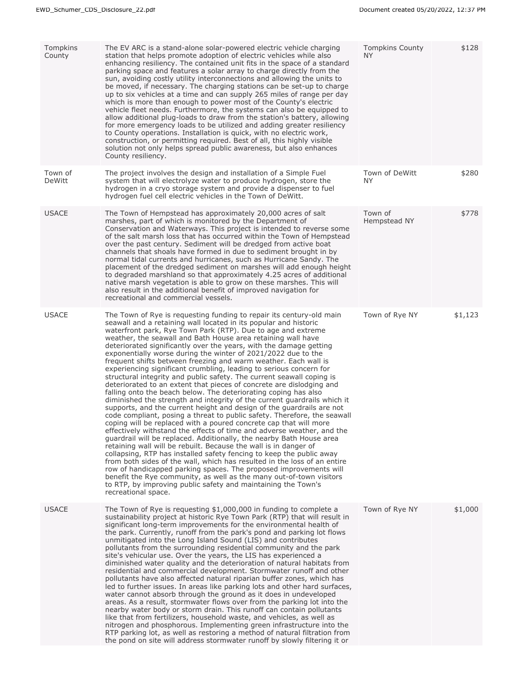| Tompkins<br>County | The EV ARC is a stand-alone solar-powered electric vehicle charging<br>station that helps promote adoption of electric vehicles while also<br>enhancing resiliency. The contained unit fits in the space of a standard<br>parking space and features a solar array to charge directly from the<br>sun, avoiding costly utility interconnections and allowing the units to<br>be moved, if necessary. The charging stations can be set-up to charge<br>up to six vehicles at a time and can supply 265 miles of range per day<br>which is more than enough to power most of the County's electric<br>vehicle fleet needs. Furthermore, the systems can also be equipped to<br>allow additional plug-loads to draw from the station's battery, allowing<br>for more emergency loads to be utilized and adding greater resiliency<br>to County operations. Installation is quick, with no electric work,<br>construction, or permitting required. Best of all, this highly visible<br>solution not only helps spread public awareness, but also enhances<br>County resiliency.                                                                                                                                                                                                                                                                                                                                                                                                                                                                                                                                                                                                                      | <b>Tompkins County</b><br>NY. | \$128   |
|--------------------|--------------------------------------------------------------------------------------------------------------------------------------------------------------------------------------------------------------------------------------------------------------------------------------------------------------------------------------------------------------------------------------------------------------------------------------------------------------------------------------------------------------------------------------------------------------------------------------------------------------------------------------------------------------------------------------------------------------------------------------------------------------------------------------------------------------------------------------------------------------------------------------------------------------------------------------------------------------------------------------------------------------------------------------------------------------------------------------------------------------------------------------------------------------------------------------------------------------------------------------------------------------------------------------------------------------------------------------------------------------------------------------------------------------------------------------------------------------------------------------------------------------------------------------------------------------------------------------------------------------------------------------------------------------------------------------------------|-------------------------------|---------|
| Town of<br>DeWitt  | The project involves the design and installation of a Simple Fuel<br>system that will electrolyze water to produce hydrogen, store the<br>hydrogen in a cryo storage system and provide a dispenser to fuel<br>hydrogen fuel cell electric vehicles in the Town of DeWitt.                                                                                                                                                                                                                                                                                                                                                                                                                                                                                                                                                                                                                                                                                                                                                                                                                                                                                                                                                                                                                                                                                                                                                                                                                                                                                                                                                                                                                       | Town of DeWitt<br><b>NY</b>   | \$280   |
| <b>USACE</b>       | The Town of Hempstead has approximately 20,000 acres of salt<br>marshes, part of which is monitored by the Department of<br>Conservation and Waterways. This project is intended to reverse some<br>of the salt marsh loss that has occurred within the Town of Hempstead<br>over the past century. Sediment will be dredged from active boat<br>channels that shoals have formed in due to sediment brought in by<br>normal tidal currents and hurricanes, such as Hurricane Sandy. The<br>placement of the dredged sediment on marshes will add enough height<br>to degraded marshland so that approximately 4.25 acres of additional<br>native marsh vegetation is able to grow on these marshes. This will<br>also result in the additional benefit of improved navigation for<br>recreational and commercial vessels.                                                                                                                                                                                                                                                                                                                                                                                                                                                                                                                                                                                                                                                                                                                                                                                                                                                                       | Town of<br>Hempstead NY       | \$778   |
| <b>USACE</b>       | The Town of Rye is requesting funding to repair its century-old main<br>seawall and a retaining wall located in its popular and historic<br>waterfront park, Rye Town Park (RTP). Due to age and extreme<br>weather, the seawall and Bath House area retaining wall have<br>deteriorated significantly over the years, with the damage getting<br>exponentially worse during the winter of 2021/2022 due to the<br>frequent shifts between freezing and warm weather. Each wall is<br>experiencing significant crumbling, leading to serious concern for<br>structural integrity and public safety. The current seawall coping is<br>deteriorated to an extent that pieces of concrete are dislodging and<br>falling onto the beach below. The deteriorating coping has also<br>diminished the strength and integrity of the current guardrails which it<br>supports, and the current height and design of the guardrails are not<br>code compliant, posing a threat to public safety. Therefore, the seawall<br>coping will be replaced with a poured concrete cap that will more<br>effectively withstand the effects of time and adverse weather, and the<br>guardrail will be replaced. Additionally, the nearby Bath House area<br>retaining wall will be rebuilt. Because the wall is in danger of<br>collapsing, RTP has installed safety fencing to keep the public away<br>from both sides of the wall, which has resulted in the loss of an entire<br>row of handicapped parking spaces. The proposed improvements will<br>benefit the Rye community, as well as the many out-of-town visitors<br>to RTP, by improving public safety and maintaining the Town's<br>recreational space. | Town of Rye NY                | \$1,123 |
| <b>USACE</b>       | The Town of Rye is requesting $$1,000,000$ in funding to complete a<br>sustainability project at historic Rye Town Park (RTP) that will result in<br>significant long-term improvements for the environmental health of<br>the park. Currently, runoff from the park's pond and parking lot flows<br>unmitigated into the Long Island Sound (LIS) and contributes<br>pollutants from the surrounding residential community and the park<br>site's vehicular use. Over the years, the LIS has experienced a<br>diminished water quality and the deterioration of natural habitats from<br>residential and commercial development. Stormwater runoff and other<br>pollutants have also affected natural riparian buffer zones, which has<br>led to further issues. In areas like parking lots and other hard surfaces,<br>water cannot absorb through the ground as it does in undeveloped<br>areas. As a result, stormwater flows over from the parking lot into the<br>nearby water body or storm drain. This runoff can contain pollutants<br>like that from fertilizers, household waste, and vehicles, as well as<br>nitrogen and phosphorous. Implementing green infrastructure into the<br>RTP parking lot, as well as restoring a method of natural filtration from<br>the pond on site will address stormwater runoff by slowly filtering it or                                                                                                                                                                                                                                                                                                                                           | Town of Rye NY                | \$1,000 |